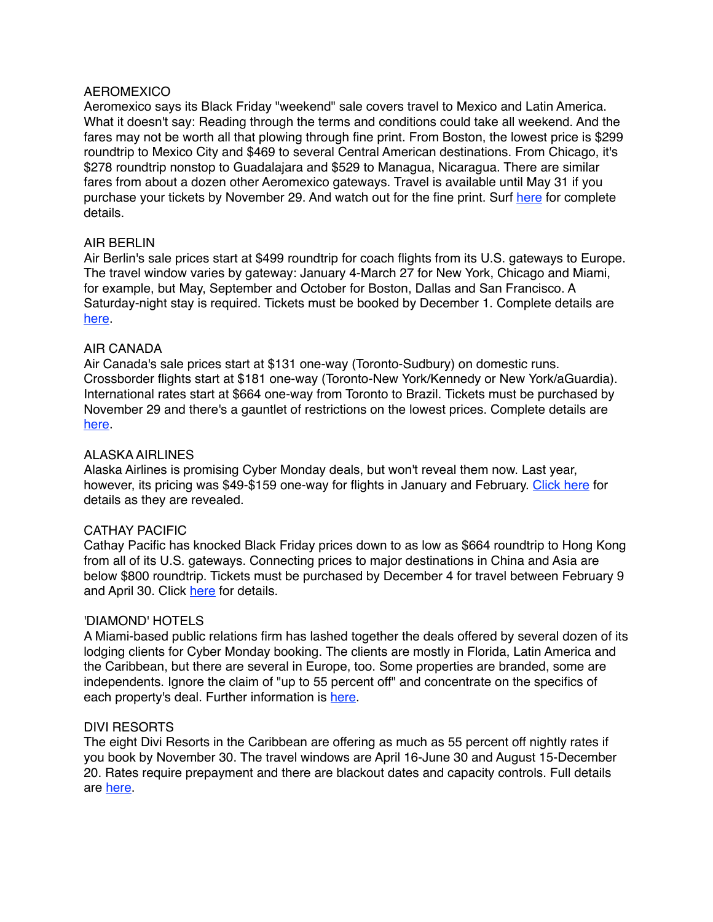## **AEROMEXICO**

Aeromexico says its Black Friday "weekend" sale covers travel to Mexico and Latin America. What it doesn't say: Reading through the terms and conditions could take all weekend. And the fares may not be worth all that plowing through fine print. From Boston, the lowest price is \$299 roundtrip to Mexico City and \$469 to several Central American destinations. From Chicago, it's \$278 roundtrip nonstop to Guadalajara and \$529 to Managua, Nicaragua. There are similar fares from about a dozen other Aeromexico gateways. Travel is available until May 31 if you purchase your tickets by November 29. And watch out for the fine print. Surf [here](http://www.flytap.com/USA/enus/Promotions/Campaigns/black-friday) for complete details.

# AIR BERLIN

Air Berlin's sale prices start at \$499 roundtrip for coach flights from its U.S. gateways to Europe. The travel window varies by gateway: January 4-March 27 for New York, Chicago and Miami, for example, but May, September and October for Boston, Dallas and San Francisco. A Saturday-night stay is required. Tickets must be booked by December 1. Complete details are [here](http://www.airberlin.com/en-US/site/landingpages/jubelpreise.php).

# AIR CANADA

Air Canada's sale prices start at \$131 one-way (Toronto-Sudbury) on domestic runs. Crossborder flights start at \$181 one-way (Toronto-New York/Kennedy or New York/aGuardia). International rates start at \$664 one-way from Toronto to Brazil. Tickets must be purchased by November 29 and there's a gauntlet of restrictions on the lowest prices. Complete details are [here](http://www.aircanada.com/en/offers/air/blackfriday/blackfriday.html).

# ALASKA AIRLINES

Alaska Airlines is promising Cyber Monday deals, but won't reveal them now. Last year, however, its pricing was \$49-\$159 one-way for flights in January and February. [Click here](http://www.alaskaair.com/content/deals/flights/cyber-monday-sale.aspx) for details as they are revealed.

## CATHAY PACIFIC

Cathay Pacific has knocked Black Friday prices down to as low as \$664 roundtrip to Hong Kong from all of its U.S. gateways. Connecting prices to major destinations in China and Asia are below \$800 roundtrip. Tickets must be purchased by December 4 for travel between February 9 and April 30. Click [here](http://www.cathaypacific.com/cx/en_US/latest-offers/flights/black-friday-2015.html) for details.

## 'DIAMOND' HOTELS

A Miami-based public relations firm has lashed together the deals offered by several dozen of its lodging clients for Cyber Monday booking. The clients are mostly in Florida, Latin America and the Caribbean, but there are several in Europe, too. Some properties are branded, some are independents. Ignore the claim of "up to 55 percent off" and concentrate on the specifics of each property's deal. Further information is [here.](http://www.cybertraveldeals.com/)

## DIVI RESORTS

The eight Divi Resorts in the Caribbean are offering as much as 55 percent off nightly rates if you book by November 30. The travel windows are April 16-June 30 and August 15-December 20. Rates require prepayment and there are blackout dates and capacity controls. Full details are [here.](http://www.diviresorts.com/cyber-monday.htm)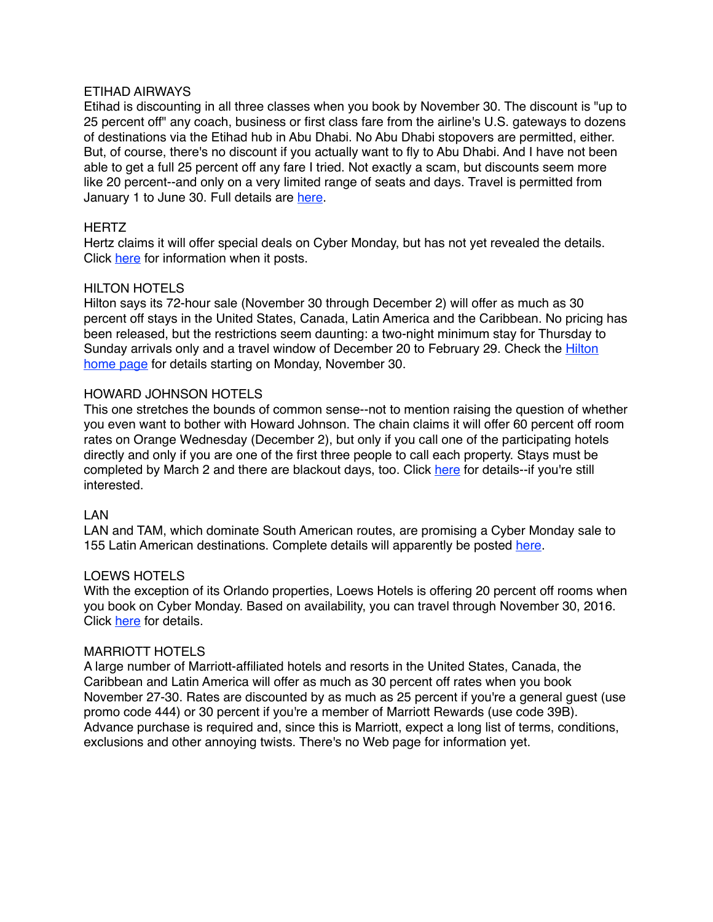## ETIHAD AIRWAYS

Etihad is discounting in all three classes when you book by November 30. The discount is "up to 25 percent off" any coach, business or first class fare from the airline's U.S. gateways to dozens of destinations via the Etihad hub in Abu Dhabi. No Abu Dhabi stopovers are permitted, either. But, of course, there's no discount if you actually want to fly to Abu Dhabi. And I have not been able to get a full 25 percent off any fare I tried. Not exactly a scam, but discounts seem more like 20 percent--and only on a very limited range of seats and days. Travel is permitted from January 1 to June 30. Full details are [here](http://www.etihad.com/en-us/promotions/cyber-monday-sale/).

# **HERTZ**

Hertz claims it will offer special deals on Cyber Monday, but has not yet revealed the details. Click [here](https://www.hertz.com/rentacar/rental-car-deals/hertz-cyber-monday-deal-sneak-peek) for information when it posts.

# HILTON HOTELS

Hilton says its 72-hour sale (November 30 through December 2) will offer as much as 30 percent off stays in the United States, Canada, Latin America and the Caribbean. No pricing has been released, but the restrictions seem daunting: a two-night minimum stay for Thursday to [Sunday arrivals only and a travel window of December 20 to February 29. Check the Hilton](http://www3.hilton.com/en/index.html)  home page for details starting on Monday, November 30.

# HOWARD JOHNSON HOTELS

This one stretches the bounds of common sense--not to mention raising the question of whether you even want to bother with Howard Johnson. The chain claims it will offer 60 percent off room rates on Orange Wednesday (December 2), but only if you call one of the participating hotels directly and only if you are one of the first three people to call each property. Stays must be completed by March 2 and there are blackout days, too. Click [here](http://www.hojo.com/deals-discounts/featured-offers/orange-Wednesday) for details--if you're still interested.

## LAN

LAN and TAM, which dominate South American routes, are promising a Cyber Monday sale to 155 Latin American destinations. Complete details will apparently be posted [here](http://www.lan.com/en_us/sitio_personas/special-offers/cyber-monday-teaser/).

## LOEWS HOTELS

With the exception of its Orlando properties, Loews Hotels is offering 20 percent off rooms when you book on Cyber Monday. Based on availability, you can travel through November 30, 2016. Click [here](http://www.loewshotels.com/cybermonday) for details.

## MARRIOTT HOTELS

A large number of Marriott-affiliated hotels and resorts in the United States, Canada, the Caribbean and Latin America will offer as much as 30 percent off rates when you book November 27-30. Rates are discounted by as much as 25 percent if you're a general guest (use promo code 444) or 30 percent if you're a member of Marriott Rewards (use code 39B). Advance purchase is required and, since this is Marriott, expect a long list of terms, conditions, exclusions and other annoying twists. There's no Web page for information yet.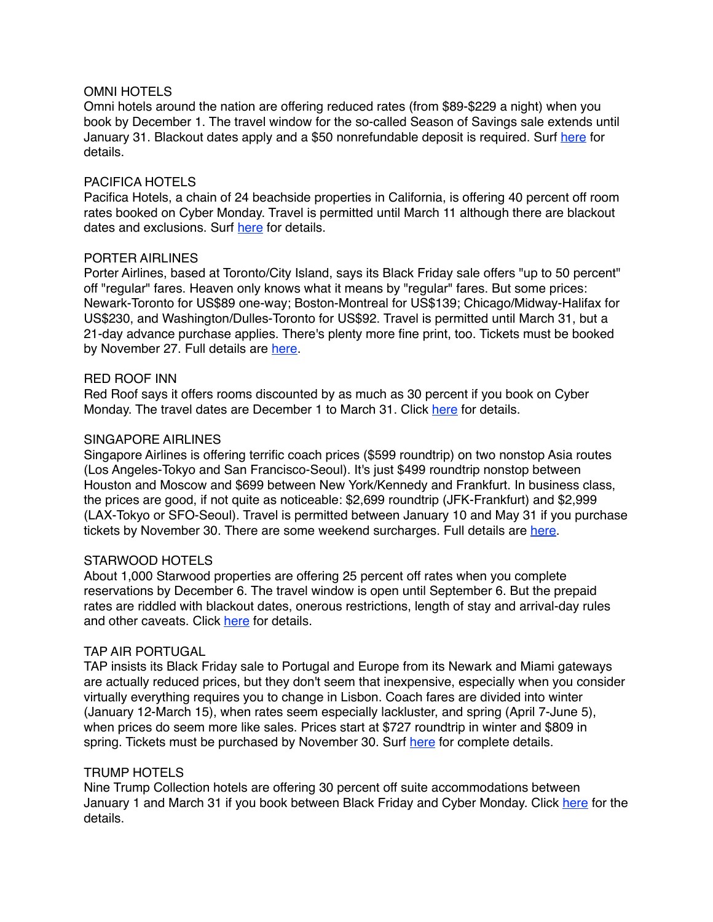## OMNI HOTELS

Omni hotels around the nation are offering reduced rates (from \$89-\$229 a night) when you book by December 1. The travel window for the so-called Season of Savings sale extends until January 31. Blackout dates apply and a \$50 nonrefundable deposit is required. Surf [here](http://www.omnihotels.com/specials/season-of-savings) for details.

# PACIFICA HOTELS

Pacifica Hotels, a chain of 24 beachside properties in California, is offering 40 percent off room rates booked on Cyber Monday. Travel is permitted until March 11 although there are blackout dates and exclusions. Surf [here](http://www.pacificahotels.com/specials/cyber) for details.

## PORTER AIRLINES

Porter Airlines, based at Toronto/City Island, says its Black Friday sale offers "up to 50 percent" off "regular" fares. Heaven only knows what it means by "regular" fares. But some prices: Newark-Toronto for US\$89 one-way; Boston-Montreal for US\$139; Chicago/Midway-Halifax for US\$230, and Washington/Dulles-Toronto for US\$92. Travel is permitted until March 31, but a 21-day advance purchase applies. There's plenty more fine print, too. Tickets must be booked by November 27. Full details are [here](https://www.flyporter.com/Special-Offers/Email-Sign-Up?culture=en-US).

# RED ROOF INN

Red Roof says it offers rooms discounted by as much as 30 percent if you book on Cyber Monday. The travel dates are December 1 to March 31. Click [here](https://www.redroof.com/partners/cyber_monday/) for details.

# SINGAPORE AIRLINES

Singapore Airlines is offering terrific coach prices (\$599 roundtrip) on two nonstop Asia routes (Los Angeles-Tokyo and San Francisco-Seoul). It's just \$499 roundtrip nonstop between Houston and Moscow and \$699 between New York/Kennedy and Frankfurt. In business class, the prices are good, if not quite as noticeable: \$2,699 roundtrip (JFK-Frankfurt) and \$2,999 (LAX-Tokyo or SFO-Seoul). Travel is permitted between January 10 and May 31 if you purchase tickets by November 30. There are some weekend surcharges. Full details are [here.](http://www.singaporeair.com/jsp/cms/en_UK/promotions/black-friday-cyber-monday.jsp)

# STARWOOD HOTELS

About 1,000 Starwood properties are offering 25 percent off rates when you complete reservations by December 6. The travel window is open until September 6. But the prepaid rates are riddled with blackout dates, onerous restrictions, length of stay and arrival-day rules and other caveats. Click [here](http://www.spghotescapes.com/) for details.

## TAP AIR PORTUGAL

TAP insists its Black Friday sale to Portugal and Europe from its Newark and Miami gateways are actually reduced prices, but they don't seem that inexpensive, especially when you consider virtually everything requires you to change in Lisbon. Coach fares are divided into winter (January 12-March 15), when rates seem especially lackluster, and spring (April 7-June 5), when prices do seem more like sales. Prices start at \$727 roundtrip in winter and \$809 in spring. Tickets must be purchased by November 30. Surf [here](http://www.flytap.com/USA/enus/Promotions/Campaigns/black-friday) for complete details.

## TRUMP HOTELS

Nine Trump Collection hotels are offering 30 percent off suite accommodations between January 1 and March 31 if you book between Black Friday and Cyber Monday. Click [here](https://www.trumphotelcollection.com/suite-promotion.php) for the details.